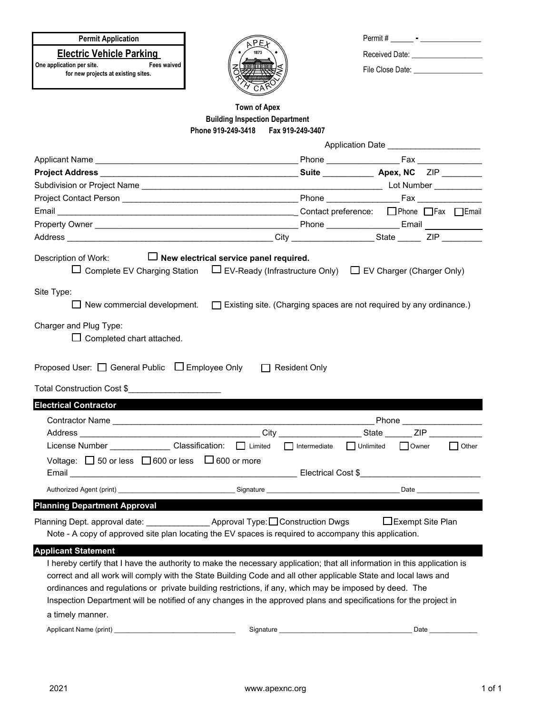## **Permit Application**

**Electric Vehicle Parking** 

**One application per site.** Fees waived **for new projects at existing sites.**



| Permit#          |  |
|------------------|--|
| Received Date:   |  |
| File Close Date: |  |

## **Building Inspection Department Phone 919-249-3418 Fax 919-249-3407 Town of Apex**

|                                                                                                                                                                                                                                                                                                                                                                                                                                                                             | Application Date ______________________ |  |                   |                            |  |  |
|-----------------------------------------------------------------------------------------------------------------------------------------------------------------------------------------------------------------------------------------------------------------------------------------------------------------------------------------------------------------------------------------------------------------------------------------------------------------------------|-----------------------------------------|--|-------------------|----------------------------|--|--|
|                                                                                                                                                                                                                                                                                                                                                                                                                                                                             |                                         |  |                   |                            |  |  |
|                                                                                                                                                                                                                                                                                                                                                                                                                                                                             |                                         |  |                   |                            |  |  |
|                                                                                                                                                                                                                                                                                                                                                                                                                                                                             |                                         |  |                   |                            |  |  |
|                                                                                                                                                                                                                                                                                                                                                                                                                                                                             |                                         |  |                   |                            |  |  |
|                                                                                                                                                                                                                                                                                                                                                                                                                                                                             |                                         |  |                   |                            |  |  |
|                                                                                                                                                                                                                                                                                                                                                                                                                                                                             |                                         |  |                   |                            |  |  |
|                                                                                                                                                                                                                                                                                                                                                                                                                                                                             |                                         |  |                   |                            |  |  |
| Description of Work: $\Box$ New electrical service panel required.<br>$\Box$ Complete EV Charging Station $\Box$ EV-Ready (Infrastructure Only) $\Box$ EV Charger (Charger Only)                                                                                                                                                                                                                                                                                            |                                         |  |                   |                            |  |  |
| Site Type:<br>New commercial development. $\Box$ Existing site. (Charging spaces are not required by any ordinance.)                                                                                                                                                                                                                                                                                                                                                        |                                         |  |                   |                            |  |  |
| Charger and Plug Type:<br>$\Box$ Completed chart attached.<br>Proposed User: □ General Public □ Employee Only □ Resident Only<br>Total Construction Cost \$                                                                                                                                                                                                                                                                                                                 |                                         |  |                   |                            |  |  |
| <b>Electrical Contractor</b> No. 1996                                                                                                                                                                                                                                                                                                                                                                                                                                       |                                         |  |                   |                            |  |  |
|                                                                                                                                                                                                                                                                                                                                                                                                                                                                             |                                         |  |                   | Phone ____________________ |  |  |
|                                                                                                                                                                                                                                                                                                                                                                                                                                                                             |                                         |  |                   |                            |  |  |
| License Number _______________Classification: □ Limited □ Intermediate □ Unlimited □ Owner                                                                                                                                                                                                                                                                                                                                                                                  |                                         |  |                   | $\Box$ Other               |  |  |
| Voltage: $\Box$ 50 or less $\Box$ 600 or less $\Box$ 600 or more                                                                                                                                                                                                                                                                                                                                                                                                            |                                         |  |                   |                            |  |  |
|                                                                                                                                                                                                                                                                                                                                                                                                                                                                             |                                         |  |                   |                            |  |  |
| <b>Planning Department Approval</b>                                                                                                                                                                                                                                                                                                                                                                                                                                         |                                         |  |                   |                            |  |  |
| Planning Dept. approval date: _______________________Approval Type: □ Construction Dwgs<br>Note - A copy of approved site plan locating the EV spaces is required to accompany this application.                                                                                                                                                                                                                                                                            |                                         |  | □Exempt Site Plan |                            |  |  |
| <b>Applicant Statement</b>                                                                                                                                                                                                                                                                                                                                                                                                                                                  |                                         |  |                   |                            |  |  |
| I hereby certify that I have the authority to make the necessary application; that all information in this application is<br>correct and all work will comply with the State Building Code and all other applicable State and local laws and<br>ordinances and regulations or private building restrictions, if any, which may be imposed by deed. The<br>Inspection Department will be notified of any changes in the approved plans and specifications for the project in |                                         |  |                   |                            |  |  |
| a timely manner.                                                                                                                                                                                                                                                                                                                                                                                                                                                            |                                         |  |                   |                            |  |  |
| Applicant Name (print)                                                                                                                                                                                                                                                                                                                                                                                                                                                      | Signature                               |  | Date              |                            |  |  |